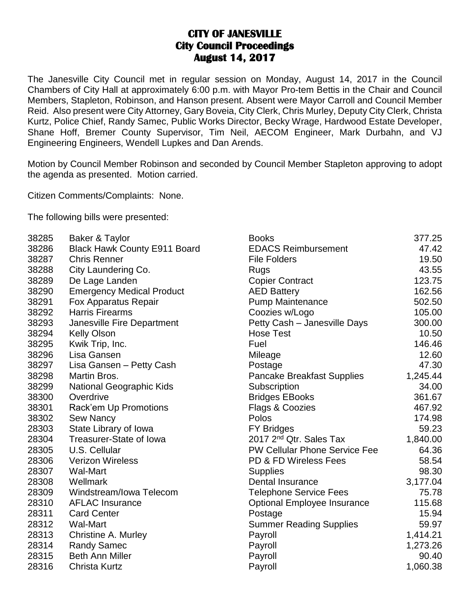## **CITY OF JANESVILLE City Council Proceedings August 14, 2017**

The Janesville City Council met in regular session on Monday, August 14, 2017 in the Council Chambers of City Hall at approximately 6:00 p.m. with Mayor Pro-tem Bettis in the Chair and Council Members, Stapleton, Robinson, and Hanson present. Absent were Mayor Carroll and Council Member Reid. Also present were City Attorney, Gary Boveia, City Clerk, Chris Murley, Deputy City Clerk, Christa Kurtz, Police Chief, Randy Samec, Public Works Director, Becky Wrage, Hardwood Estate Developer, Shane Hoff, Bremer County Supervisor, Tim Neil, AECOM Engineer, Mark Durbahn, and VJ Engineering Engineers, Wendell Lupkes and Dan Arends.

Motion by Council Member Robinson and seconded by Council Member Stapleton approving to adopt the agenda as presented. Motion carried.

Citizen Comments/Complaints: None.

The following bills were presented:

| 38285 | Baker & Taylor                      | <b>Books</b>                         | 377.25   |
|-------|-------------------------------------|--------------------------------------|----------|
| 38286 | <b>Black Hawk County E911 Board</b> | <b>EDACS Reimbursement</b>           | 47.42    |
| 38287 | <b>Chris Renner</b>                 | <b>File Folders</b>                  | 19.50    |
| 38288 | City Laundering Co.                 | Rugs                                 | 43.55    |
| 38289 | De Lage Landen                      | <b>Copier Contract</b>               | 123.75   |
| 38290 | <b>Emergency Medical Product</b>    | <b>AED Battery</b>                   | 162.56   |
| 38291 | <b>Fox Apparatus Repair</b>         | <b>Pump Maintenance</b>              | 502.50   |
| 38292 | <b>Harris Firearms</b>              | Coozies w/Logo                       | 105.00   |
| 38293 | Janesville Fire Department          | Petty Cash - Janesville Days         | 300.00   |
| 38294 | <b>Kelly Olson</b>                  | <b>Hose Test</b>                     | 10.50    |
| 38295 | Kwik Trip, Inc.                     | Fuel                                 | 146.46   |
| 38296 | Lisa Gansen                         | Mileage                              | 12.60    |
| 38297 | Lisa Gansen - Petty Cash            | Postage                              | 47.30    |
| 38298 | Martin Bros.                        | <b>Pancake Breakfast Supplies</b>    | 1,245.44 |
| 38299 | <b>National Geographic Kids</b>     | Subscription                         | 34.00    |
| 38300 | Overdrive                           | <b>Bridges EBooks</b>                | 361.67   |
| 38301 | Rack'em Up Promotions               | Flags & Coozies                      | 467.92   |
| 38302 | Sew Nancy                           | Polos                                | 174.98   |
| 28303 | State Library of Iowa               | <b>FY Bridges</b>                    | 59.23    |
| 28304 | Treasurer-State of Iowa             | 2017 2 <sup>nd</sup> Qtr. Sales Tax  | 1,840.00 |
| 28305 | U.S. Cellular                       | <b>PW Cellular Phone Service Fee</b> | 64.36    |
| 28306 | <b>Verizon Wireless</b>             | PD & FD Wireless Fees                | 58.54    |
| 28307 | <b>Wal-Mart</b>                     | <b>Supplies</b>                      | 98.30    |
| 28308 | Wellmark                            | Dental Insurance                     | 3,177.04 |
| 28309 | Windstream/Iowa Telecom             | <b>Telephone Service Fees</b>        | 75.78    |
| 28310 | <b>AFLAC Insurance</b>              | <b>Optional Employee Insurance</b>   | 115.68   |
| 28311 | <b>Card Center</b>                  | Postage                              | 15.94    |
| 28312 | <b>Wal-Mart</b>                     | <b>Summer Reading Supplies</b>       | 59.97    |
| 28313 | <b>Christine A. Murley</b>          | Payroll                              | 1,414.21 |
| 28314 | <b>Randy Samec</b>                  | Payroll                              | 1,273.26 |
| 28315 | <b>Beth Ann Miller</b>              | Payroll                              | 90.40    |
| 28316 | Christa Kurtz                       | Payroll                              | 1,060.38 |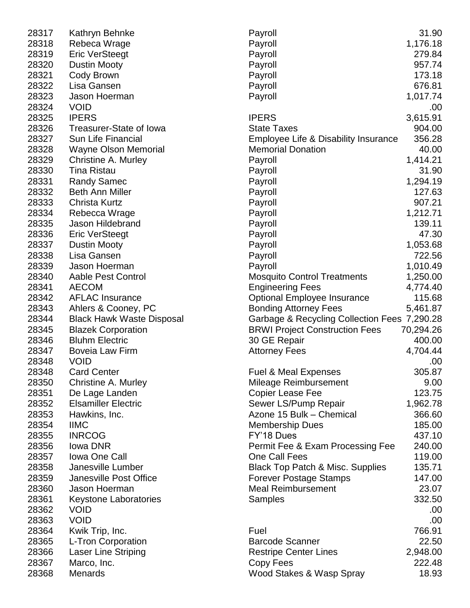| 28317 | Kathryn Behnke                   | Payroll                                      | 31.90     |
|-------|----------------------------------|----------------------------------------------|-----------|
| 28318 | Rebeca Wrage                     | Payroll                                      | 1,176.18  |
| 28319 | <b>Eric VerSteegt</b>            | Payroll                                      | 279.84    |
| 28320 | <b>Dustin Mooty</b>              | Payroll                                      | 957.74    |
| 28321 | Cody Brown                       | Payroll                                      | 173.18    |
| 28322 | Lisa Gansen                      | Payroll                                      | 676.81    |
| 28323 | Jason Hoerman                    | Payroll                                      | 1,017.74  |
| 28324 | <b>VOID</b>                      |                                              | .00       |
| 28325 | <b>IPERS</b>                     | <b>IPERS</b>                                 | 3,615.91  |
| 28326 | <b>Treasurer-State of Iowa</b>   | <b>State Taxes</b>                           | 904.00    |
| 28327 | Sun Life Financial               | Employee Life & Disability Insurance         | 356.28    |
| 28328 | <b>Wayne Olson Memorial</b>      | <b>Memorial Donation</b>                     | 40.00     |
| 28329 | Christine A. Murley              | Payroll                                      | 1,414.21  |
| 28330 | <b>Tina Ristau</b>               | Payroll                                      | 31.90     |
| 28331 | <b>Randy Samec</b>               | Payroll                                      | 1,294.19  |
| 28332 | <b>Beth Ann Miller</b>           | Payroll                                      | 127.63    |
| 28333 | <b>Christa Kurtz</b>             | Payroll                                      | 907.21    |
| 28334 | Rebecca Wrage                    | Payroll                                      | 1,212.71  |
| 28335 | <b>Jason Hildebrand</b>          | Payroll                                      | 139.11    |
| 28336 | <b>Eric VerSteegt</b>            | Payroll                                      | 47.30     |
| 28337 | <b>Dustin Mooty</b>              | Payroll                                      | 1,053.68  |
| 28338 | Lisa Gansen                      | Payroll                                      | 722.56    |
| 28339 | Jason Hoerman                    | Payroll                                      | 1,010.49  |
| 28340 | <b>Aable Pest Control</b>        | <b>Mosquito Control Treatments</b>           | 1,250.00  |
| 28341 | <b>AECOM</b>                     | <b>Engineering Fees</b>                      | 4,774.40  |
| 28342 | <b>AFLAC Insurance</b>           | <b>Optional Employee Insurance</b>           | 115.68    |
| 28343 | Ahlers & Cooney, PC              | <b>Bonding Attorney Fees</b>                 | 5,461.87  |
| 28344 | <b>Black Hawk Waste Disposal</b> | Garbage & Recycling Collection Fees 7,290.28 |           |
| 28345 | <b>Blazek Corporation</b>        | <b>BRWI Project Construction Fees</b>        | 70,294.26 |
| 28346 | <b>Bluhm Electric</b>            | 30 GE Repair                                 | 400.00    |
| 28347 | <b>Boveia Law Firm</b>           | <b>Attorney Fees</b>                         | 4,704.44  |
| 28348 | <b>VOID</b>                      |                                              | .00       |
| 28348 | <b>Card Center</b>               | Fuel & Meal Expenses                         | 305.87    |
| 28350 | Christine A. Murley              | Mileage Reimbursement                        | 9.00      |
| 28351 | De Lage Landen                   | <b>Copier Lease Fee</b>                      | 123.75    |
| 28352 | <b>Elsamiller Electric</b>       | Sewer LS/Pump Repair                         | 1,962.78  |
| 28353 | Hawkins, Inc.                    | Azone 15 Bulk - Chemical                     | 366.60    |
| 28354 | <b>IIMC</b>                      | <b>Membership Dues</b>                       | 185.00    |
| 28355 | <b>INRCOG</b>                    | FY'18 Dues                                   | 437.10    |
| 28356 | lowa DNR                         | Permit Fee & Exam Processing Fee             | 240.00    |
| 28357 | <b>Iowa One Call</b>             | <b>One Call Fees</b>                         | 119.00    |
| 28358 | Janesville Lumber                | <b>Black Top Patch &amp; Misc. Supplies</b>  | 135.71    |
| 28359 | Janesville Post Office           | <b>Forever Postage Stamps</b>                | 147.00    |
| 28360 | Jason Hoerman                    | <b>Meal Reimbursement</b>                    | 23.07     |
| 28361 | <b>Keystone Laboratories</b>     | Samples                                      | 332.50    |
| 28362 | <b>VOID</b>                      |                                              | .00       |
| 28363 | <b>VOID</b>                      |                                              | .00       |
| 28364 | Kwik Trip, Inc.                  | Fuel                                         | 766.91    |
| 28365 | L-Tron Corporation               | <b>Barcode Scanner</b>                       | 22.50     |
| 28366 | <b>Laser Line Striping</b>       | <b>Restripe Center Lines</b>                 | 2,948.00  |
| 28367 | Marco, Inc.                      | Copy Fees                                    | 222.48    |
| 28368 | <b>Menards</b>                   | Wood Stakes & Wasp Spray                     | 18.93     |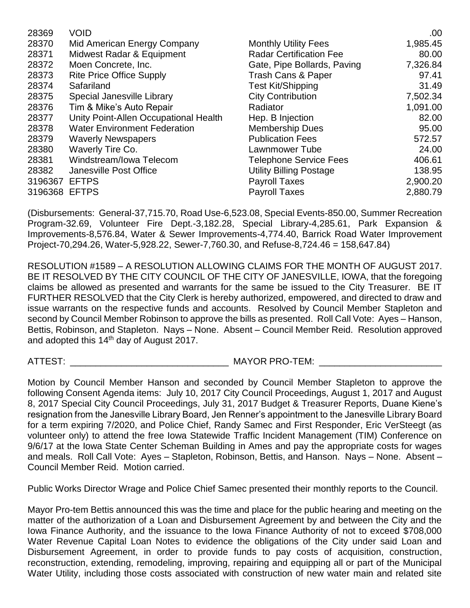| 28369   | <b>VOID</b>                           |                                | .00.     |
|---------|---------------------------------------|--------------------------------|----------|
| 28370   | Mid American Energy Company           | <b>Monthly Utility Fees</b>    | 1,985.45 |
| 28371   | Midwest Radar & Equipment             | <b>Radar Certification Fee</b> | 80.00    |
| 28372   | Moen Concrete, Inc.                   | Gate, Pipe Bollards, Paving    | 7,326.84 |
| 28373   | <b>Rite Price Office Supply</b>       | <b>Trash Cans &amp; Paper</b>  | 97.41    |
| 28374   | Safariland                            | <b>Test Kit/Shipping</b>       | 31.49    |
| 28375   | Special Janesville Library            | <b>City Contribution</b>       | 7,502.34 |
| 28376   | Tim & Mike's Auto Repair              | Radiator                       | 1,091.00 |
| 28377   | Unity Point-Allen Occupational Health | Hep. B Injection               | 82.00    |
| 28378   | <b>Water Environment Federation</b>   | <b>Membership Dues</b>         | 95.00    |
| 28379   | <b>Waverly Newspapers</b>             | <b>Publication Fees</b>        | 572.57   |
| 28380   | Waverly Tire Co.                      | Lawnmower Tube                 | 24.00    |
| 28381   | Windstream/Iowa Telecom               | <b>Telephone Service Fees</b>  | 406.61   |
| 28382   | Janesville Post Office                | <b>Utility Billing Postage</b> | 138.95   |
| 3196367 | <b>EFTPS</b>                          | <b>Payroll Taxes</b>           | 2,900.20 |
| 3196368 | <b>EFTPS</b>                          | <b>Payroll Taxes</b>           | 2,880.79 |

(Disbursements: General-37,715.70, Road Use-6,523.08, Special Events-850.00, Summer Recreation Program-32.69, Volunteer Fire Dept.-3,182.28, Special Library-4,285.61, Park Expansion & Improvements-8,576.84, Water & Sewer Improvements-4,774.40, Barrick Road Water Improvement Project-70,294.26, Water-5,928.22, Sewer-7,760.30, and Refuse-8,724.46 = 158,647.84)

RESOLUTION #1589 – A RESOLUTION ALLOWING CLAIMS FOR THE MONTH OF AUGUST 2017. BE IT RESOLVED BY THE CITY COUNCIL OF THE CITY OF JANESVILLE, IOWA, that the foregoing claims be allowed as presented and warrants for the same be issued to the City Treasurer. BE IT FURTHER RESOLVED that the City Clerk is hereby authorized, empowered, and directed to draw and issue warrants on the respective funds and accounts. Resolved by Council Member Stapleton and second by Council Member Robinson to approve the bills as presented. Roll Call Vote: Ayes – Hanson, Bettis, Robinson, and Stapleton. Nays – None. Absent – Council Member Reid. Resolution approved and adopted this 14<sup>th</sup> day of August 2017.

ATTEST: \_\_\_\_\_\_\_\_\_\_\_\_\_\_\_\_\_\_\_\_\_\_\_\_\_\_\_\_\_\_\_ MAYOR PRO-TEM: \_\_\_\_\_\_\_\_\_\_\_\_\_\_\_\_\_\_\_\_\_\_\_\_

Motion by Council Member Hanson and seconded by Council Member Stapleton to approve the following Consent Agenda items: July 10, 2017 City Council Proceedings, August 1, 2017 and August 8, 2017 Special City Council Proceedings, July 31, 2017 Budget & Treasurer Reports, Duane Kiene's resignation from the Janesville Library Board, Jen Renner's appointment to the Janesville Library Board for a term expiring 7/2020, and Police Chief, Randy Samec and First Responder, Eric VerSteegt (as volunteer only) to attend the free Iowa Statewide Traffic Incident Management (TIM) Conference on 9/6/17 at the Iowa State Center Scheman Building in Ames and pay the appropriate costs for wages and meals. Roll Call Vote: Ayes – Stapleton, Robinson, Bettis, and Hanson. Nays – None. Absent – Council Member Reid. Motion carried.

Public Works Director Wrage and Police Chief Samec presented their monthly reports to the Council.

Mayor Pro-tem Bettis announced this was the time and place for the public hearing and meeting on the matter of the authorization of a Loan and Disbursement Agreement by and between the City and the Iowa Finance Authority, and the issuance to the Iowa Finance Authority of not to exceed \$708,000 Water Revenue Capital Loan Notes to evidence the obligations of the City under said Loan and Disbursement Agreement, in order to provide funds to pay costs of acquisition, construction, reconstruction, extending, remodeling, improving, repairing and equipping all or part of the Municipal Water Utility, including those costs associated with construction of new water main and related site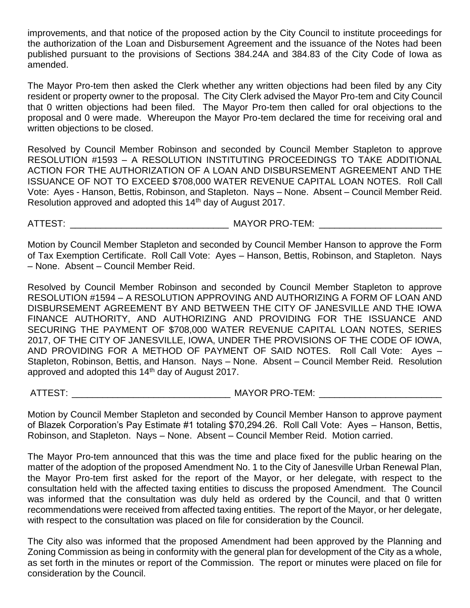improvements, and that notice of the proposed action by the City Council to institute proceedings for the authorization of the Loan and Disbursement Agreement and the issuance of the Notes had been published pursuant to the provisions of Sections 384.24A and 384.83 of the City Code of Iowa as amended.

The Mayor Pro-tem then asked the Clerk whether any written objections had been filed by any City resident or property owner to the proposal. The City Clerk advised the Mayor Pro-tem and City Council that 0 written objections had been filed. The Mayor Pro-tem then called for oral objections to the proposal and 0 were made. Whereupon the Mayor Pro-tem declared the time for receiving oral and written objections to be closed.

Resolved by Council Member Robinson and seconded by Council Member Stapleton to approve RESOLUTION #1593 – A RESOLUTION INSTITUTING PROCEEDINGS TO TAKE ADDITIONAL ACTION FOR THE AUTHORIZATION OF A LOAN AND DISBURSEMENT AGREEMENT AND THE ISSUANCE OF NOT TO EXCEED \$708,000 WATER REVENUE CAPITAL LOAN NOTES. Roll Call Vote: Ayes - Hanson, Bettis, Robinson, and Stapleton. Nays – None. Absent – Council Member Reid. Resolution approved and adopted this 14<sup>th</sup> day of August 2017.

ATTEST: \_\_\_\_\_\_\_\_\_\_\_\_\_\_\_\_\_\_\_\_\_\_\_\_\_\_\_\_\_\_\_ MAYOR PRO-TEM: \_\_\_\_\_\_\_\_\_\_\_\_\_\_\_\_\_\_\_\_\_\_\_\_

Motion by Council Member Stapleton and seconded by Council Member Hanson to approve the Form of Tax Exemption Certificate. Roll Call Vote: Ayes – Hanson, Bettis, Robinson, and Stapleton. Nays – None. Absent – Council Member Reid.

Resolved by Council Member Robinson and seconded by Council Member Stapleton to approve RESOLUTION #1594 – A RESOLUTION APPROVING AND AUTHORIZING A FORM OF LOAN AND DISBURSEMENT AGREEMENT BY AND BETWEEN THE CITY OF JANESVILLE AND THE IOWA FINANCE AUTHORITY, AND AUTHORIZING AND PROVIDING FOR THE ISSUANCE AND SECURING THE PAYMENT OF \$708,000 WATER REVENUE CAPITAL LOAN NOTES, SERIES 2017, OF THE CITY OF JANESVILLE, IOWA, UNDER THE PROVISIONS OF THE CODE OF IOWA, AND PROVIDING FOR A METHOD OF PAYMENT OF SAID NOTES. Roll Call Vote: Ayes – Stapleton, Robinson, Bettis, and Hanson. Nays – None. Absent – Council Member Reid. Resolution approved and adopted this  $14<sup>th</sup>$  day of August 2017.

ATTEST: THE CONSTRUCTION CONTROLLER MAYOR PRO-TEM:

Motion by Council Member Stapleton and seconded by Council Member Hanson to approve payment of Blazek Corporation's Pay Estimate #1 totaling \$70,294.26. Roll Call Vote: Ayes – Hanson, Bettis, Robinson, and Stapleton. Nays – None. Absent – Council Member Reid. Motion carried.

The Mayor Pro-tem announced that this was the time and place fixed for the public hearing on the matter of the adoption of the proposed Amendment No. 1 to the City of Janesville Urban Renewal Plan, the Mayor Pro-tem first asked for the report of the Mayor, or her delegate, with respect to the consultation held with the affected taxing entities to discuss the proposed Amendment. The Council was informed that the consultation was duly held as ordered by the Council, and that 0 written recommendations were received from affected taxing entities. The report of the Mayor, or her delegate, with respect to the consultation was placed on file for consideration by the Council.

The City also was informed that the proposed Amendment had been approved by the Planning and Zoning Commission as being in conformity with the general plan for development of the City as a whole, as set forth in the minutes or report of the Commission. The report or minutes were placed on file for consideration by the Council.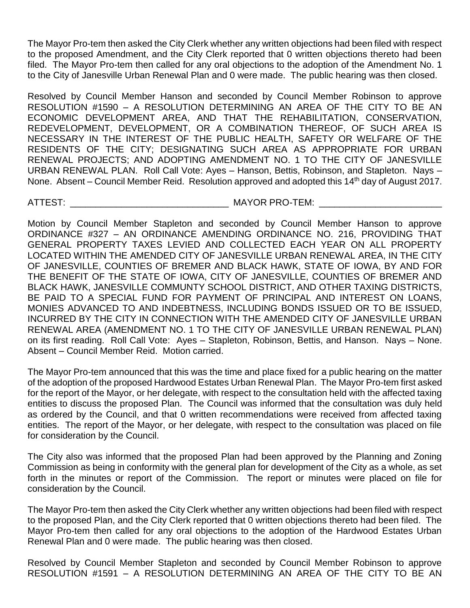The Mayor Pro-tem then asked the City Clerk whether any written objections had been filed with respect to the proposed Amendment, and the City Clerk reported that 0 written objections thereto had been filed. The Mayor Pro-tem then called for any oral objections to the adoption of the Amendment No. 1 to the City of Janesville Urban Renewal Plan and 0 were made. The public hearing was then closed.

Resolved by Council Member Hanson and seconded by Council Member Robinson to approve RESOLUTION #1590 – A RESOLUTION DETERMINING AN AREA OF THE CITY TO BE AN ECONOMIC DEVELOPMENT AREA, AND THAT THE REHABILITATION, CONSERVATION, REDEVELOPMENT, DEVELOPMENT, OR A COMBINATION THEREOF, OF SUCH AREA IS NECESSARY IN THE INTEREST OF THE PUBLIC HEALTH, SAFETY OR WELFARE OF THE RESIDENTS OF THE CITY; DESIGNATING SUCH AREA AS APPROPRIATE FOR URBAN RENEWAL PROJECTS; AND ADOPTING AMENDMENT NO. 1 TO THE CITY OF JANESVILLE URBAN RENEWAL PLAN. Roll Call Vote: Ayes – Hanson, Bettis, Robinson, and Stapleton. Nays – None. Absent – Council Member Reid. Resolution approved and adopted this 14<sup>th</sup> day of August 2017.

ATTEST: \_\_\_\_\_\_\_\_\_\_\_\_\_\_\_\_\_\_\_\_\_\_\_\_\_\_\_\_\_\_\_ MAYOR PRO-TEM: \_\_\_\_\_\_\_\_\_\_\_\_\_\_\_\_\_\_\_\_\_\_\_\_

Motion by Council Member Stapleton and seconded by Council Member Hanson to approve ORDINANCE #327 – AN ORDINANCE AMENDING ORDINANCE NO. 216, PROVIDING THAT GENERAL PROPERTY TAXES LEVIED AND COLLECTED EACH YEAR ON ALL PROPERTY LOCATED WITHIN THE AMENDED CITY OF JANESVILLE URBAN RENEWAL AREA, IN THE CITY OF JANESVILLE, COUNTIES OF BREMER AND BLACK HAWK, STATE OF IOWA, BY AND FOR THE BENEFIT OF THE STATE OF IOWA, CITY OF JANESVILLE, COUNTIES OF BREMER AND BLACK HAWK, JANESVILLE COMMUNTY SCHOOL DISTRICT, AND OTHER TAXING DISTRICTS, BE PAID TO A SPECIAL FUND FOR PAYMENT OF PRINCIPAL AND INTEREST ON LOANS, MONIES ADVANCED TO AND INDEBTNESS, INCLUDING BONDS ISSUED OR TO BE ISSUED, INCURRED BY THE CITY IN CONNECTION WITH THE AMENDED CITY OF JANESVILLE URBAN RENEWAL AREA (AMENDMENT NO. 1 TO THE CITY OF JANESVILLE URBAN RENEWAL PLAN) on its first reading. Roll Call Vote: Ayes – Stapleton, Robinson, Bettis, and Hanson. Nays – None. Absent – Council Member Reid. Motion carried.

The Mayor Pro-tem announced that this was the time and place fixed for a public hearing on the matter of the adoption of the proposed Hardwood Estates Urban Renewal Plan. The Mayor Pro-tem first asked for the report of the Mayor, or her delegate, with respect to the consultation held with the affected taxing entities to discuss the proposed Plan. The Council was informed that the consultation was duly held as ordered by the Council, and that 0 written recommendations were received from affected taxing entities. The report of the Mayor, or her delegate, with respect to the consultation was placed on file for consideration by the Council.

The City also was informed that the proposed Plan had been approved by the Planning and Zoning Commission as being in conformity with the general plan for development of the City as a whole, as set forth in the minutes or report of the Commission. The report or minutes were placed on file for consideration by the Council.

The Mayor Pro-tem then asked the City Clerk whether any written objections had been filed with respect to the proposed Plan, and the City Clerk reported that 0 written objections thereto had been filed. The Mayor Pro-tem then called for any oral objections to the adoption of the Hardwood Estates Urban Renewal Plan and 0 were made. The public hearing was then closed.

Resolved by Council Member Stapleton and seconded by Council Member Robinson to approve RESOLUTION #1591 – A RESOLUTION DETERMINING AN AREA OF THE CITY TO BE AN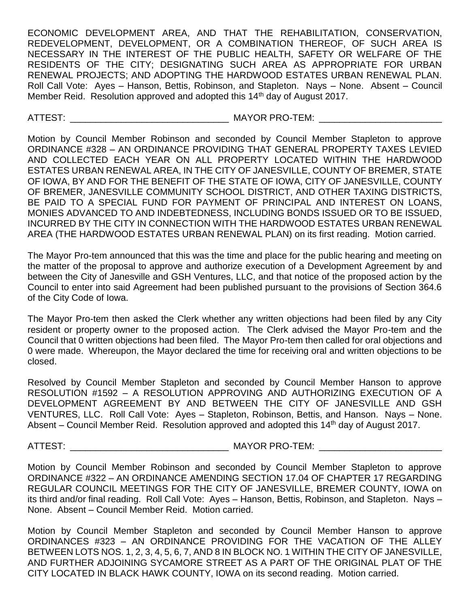ECONOMIC DEVELOPMENT AREA, AND THAT THE REHABILITATION, CONSERVATION, REDEVELOPMENT, DEVELOPMENT, OR A COMBINATION THEREOF, OF SUCH AREA IS NECESSARY IN THE INTEREST OF THE PUBLIC HEALTH, SAFETY OR WELFARE OF THE RESIDENTS OF THE CITY; DESIGNATING SUCH AREA AS APPROPRIATE FOR URBAN RENEWAL PROJECTS; AND ADOPTING THE HARDWOOD ESTATES URBAN RENEWAL PLAN. Roll Call Vote: Ayes – Hanson, Bettis, Robinson, and Stapleton. Nays – None. Absent – Council Member Reid. Resolution approved and adopted this 14<sup>th</sup> day of August 2017.

ATTEST: \_\_\_\_\_\_\_\_\_\_\_\_\_\_\_\_\_\_\_\_\_\_\_\_\_\_\_\_\_\_\_ MAYOR PRO-TEM: \_\_\_\_\_\_\_\_\_\_\_\_\_\_\_\_\_\_\_\_\_\_\_\_

Motion by Council Member Robinson and seconded by Council Member Stapleton to approve ORDINANCE #328 – AN ORDINANCE PROVIDING THAT GENERAL PROPERTY TAXES LEVIED AND COLLECTED EACH YEAR ON ALL PROPERTY LOCATED WITHIN THE HARDWOOD ESTATES URBAN RENEWAL AREA, IN THE CITY OF JANESVILLE, COUNTY OF BREMER, STATE OF IOWA, BY AND FOR THE BENEFIT OF THE STATE OF IOWA, CITY OF JANESVILLE, COUNTY OF BREMER, JANESVILLE COMMUNITY SCHOOL DISTRICT, AND OTHER TAXING DISTRICTS, BE PAID TO A SPECIAL FUND FOR PAYMENT OF PRINCIPAL AND INTEREST ON LOANS, MONIES ADVANCED TO AND INDEBTEDNESS, INCLUDING BONDS ISSUED OR TO BE ISSUED, INCURRED BY THE CITY IN CONNECTION WITH THE HARDWOOD ESTATES URBAN RENEWAL AREA (THE HARDWOOD ESTATES URBAN RENEWAL PLAN) on its first reading. Motion carried.

The Mayor Pro-tem announced that this was the time and place for the public hearing and meeting on the matter of the proposal to approve and authorize execution of a Development Agreement by and between the City of Janesville and GSH Ventures, LLC, and that notice of the proposed action by the Council to enter into said Agreement had been published pursuant to the provisions of Section 364.6 of the City Code of Iowa.

The Mayor Pro-tem then asked the Clerk whether any written objections had been filed by any City resident or property owner to the proposed action. The Clerk advised the Mayor Pro-tem and the Council that 0 written objections had been filed. The Mayor Pro-tem then called for oral objections and 0 were made. Whereupon, the Mayor declared the time for receiving oral and written objections to be closed.

Resolved by Council Member Stapleton and seconded by Council Member Hanson to approve RESOLUTION #1592 – A RESOLUTION APPROVING AND AUTHORIZING EXECUTION OF A DEVELOPMENT AGREEMENT BY AND BETWEEN THE CITY OF JANESVILLE AND GSH VENTURES, LLC. Roll Call Vote: Ayes – Stapleton, Robinson, Bettis, and Hanson. Nays – None. Absent – Council Member Reid. Resolution approved and adopted this 14th day of August 2017.

ATTEST: \_\_\_\_\_\_\_\_\_\_\_\_\_\_\_\_\_\_\_\_\_\_\_\_\_\_\_\_\_\_\_ MAYOR PRO-TEM: \_\_\_\_\_\_\_\_\_\_\_\_\_\_\_\_\_\_\_\_\_\_\_\_

Motion by Council Member Robinson and seconded by Council Member Stapleton to approve ORDINANCE #322 – AN ORDINANCE AMENDING SECTION 17.04 OF CHAPTER 17 REGARDING REGULAR COUNCIL MEETINGS FOR THE CITY OF JANESVILLE, BREMER COUNTY, IOWA on its third and/or final reading. Roll Call Vote: Ayes – Hanson, Bettis, Robinson, and Stapleton. Nays – None. Absent – Council Member Reid. Motion carried.

Motion by Council Member Stapleton and seconded by Council Member Hanson to approve ORDINANCES #323 – AN ORDINANCE PROVIDING FOR THE VACATION OF THE ALLEY BETWEEN LOTS NOS. 1, 2, 3, 4, 5, 6, 7, AND 8 IN BLOCK NO. 1 WITHIN THE CITY OF JANESVILLE, AND FURTHER ADJOINING SYCAMORE STREET AS A PART OF THE ORIGINAL PLAT OF THE CITY LOCATED IN BLACK HAWK COUNTY, IOWA on its second reading. Motion carried.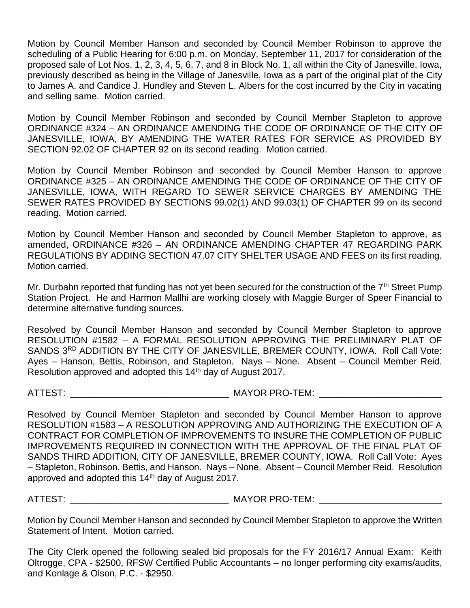Motion by Council Member Hanson and seconded by Council Member Robinson to approve the scheduling of a Public Hearing for 6:00 p.m. on Monday, September 11, 2017 for consideration of the proposed sale of Lot Nos. 1, 2, 3, 4, 5, 6, 7, and 8 in Block No. 1, all within the City of Janesville, Iowa, previously described as being in the Village of Janesville, Iowa as a part of the original plat of the City to James A. and Candice J. Hundley and Steven L. Albers for the cost incurred by the City in vacating and selling same. Motion carried.

Motion by Council Member Robinson and seconded by Council Member Stapleton to approve ORDINANCE #324 – AN ORDINANCE AMENDING THE CODE OF ORDINANCE OF THE CITY OF JANESVILLE, IOWA, BY AMENDING THE WATER RATES FOR SERVICE AS PROVIDED BY SECTION 92.02 OF CHAPTER 92 on its second reading. Motion carried.

Motion by Council Member Robinson and seconded by Council Member Hanson to approve ORDINANCE #325 – AN ORDINANCE AMENDING THE CODE OF ORDINANCE OF THE CITY OF JANESVILLE, IOWA, WITH REGARD TO SEWER SERVICE CHARGES BY AMENDING THE SEWER RATES PROVIDED BY SECTIONS 99.02(1) AND 99.03(1) OF CHAPTER 99 on its second reading. Motion carried.

Motion by Council Member Hanson and seconded by Council Member Stapleton to approve, as amended, ORDINANCE #326 – AN ORDINANCE AMENDING CHAPTER 47 REGARDING PARK REGULATIONS BY ADDING SECTION 47.07 CITY SHELTER USAGE AND FEES on its first reading. Motion carried.

Mr. Durbahn reported that funding has not yet been secured for the construction of the  $7<sup>th</sup>$  Street Pump Station Project. He and Harmon Mallhi are working closely with Maggie Burger of Speer Financial to determine alternative funding sources.

Resolved by Council Member Hanson and seconded by Council Member Stapleton to approve RESOLUTION #1582 – A FORMAL RESOLUTION APPROVING THE PRELIMINARY PLAT OF SANDS 3RD ADDITION BY THE CITY OF JANESVILLE, BREMER COUNTY, IOWA. Roll Call Vote: Ayes – Hanson, Bettis, Robinson, and Stapleton. Nays – None. Absent – Council Member Reid. Resolution approved and adopted this 14<sup>th</sup> day of August 2017.

ATTEST: AND AN ALL AND MAYOR PRO-TEM:

Resolved by Council Member Stapleton and seconded by Council Member Hanson to approve RESOLUTION #1583 – A RESOLUTION APPROVING AND AUTHORIZING THE EXECUTION OF A CONTRACT FOR COMPLETION OF IMPROVEMENTS TO INSURE THE COMPLETION OF PUBLIC IMPROVEMENTS REQUIRED IN CONNECTION WITH THE APPROVAL OF THE FINAL PLAT OF SANDS THIRD ADDITION, CITY OF JANESVILLE, BREMER COUNTY, IOWA. Roll Call Vote: Ayes – Stapleton, Robinson, Bettis, and Hanson. Nays – None. Absent – Council Member Reid. Resolution approved and adopted this 14<sup>th</sup> day of August 2017.

ATTEST: THE STIMULT AND A LOCAL THE MAYOR PRO-TEM:

Motion by Council Member Hanson and seconded by Council Member Stapleton to approve the Written Statement of Intent. Motion carried.

The City Clerk opened the following sealed bid proposals for the FY 2016/17 Annual Exam: Keith Oltrogge, CPA - \$2500, RFSW Certified Public Accountants – no longer performing city exams/audits, and Konlage & Olson, P.C. - \$2950.